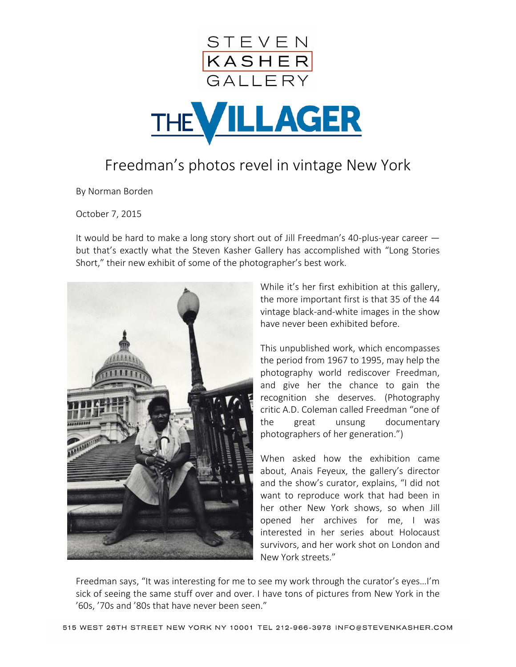



## Freedman's photos revel in vintage New York

By Norman Borden

October 7, 2015

It would be hard to make a long story short out of Jill Freedman's 40-plus-year career but that's exactly what the Steven Kasher Gallery has accomplished with "Long Stories Short," their new exhibit of some of the photographer's best work.



While it's her first exhibition at this gallery, the more important first is that 35 of the 44 vintage black-and-white images in the show have never been exhibited before.

This unpublished work, which encompasses the period from 1967 to 1995, may help the photography world rediscover Freedman, and give her the chance to gain the recognition she deserves. (Photography critic A.D. Coleman called Freedman "one of the great unsung documentary photographers of her generation.")

When asked how the exhibition came about, Anais Feyeux, the gallery's director and the show's curator, explains, "I did not want to reproduce work that had been in her other New York shows, so when Jill opened her archives for me, I was interested in her series about Holocaust survivors, and her work shot on London and New York streets."

Freedman says, "It was interesting for me to see my work through the curator's eyes…I'm sick of seeing the same stuff over and over. I have tons of pictures from New York in the '60s, '70s and '80s that have never been seen."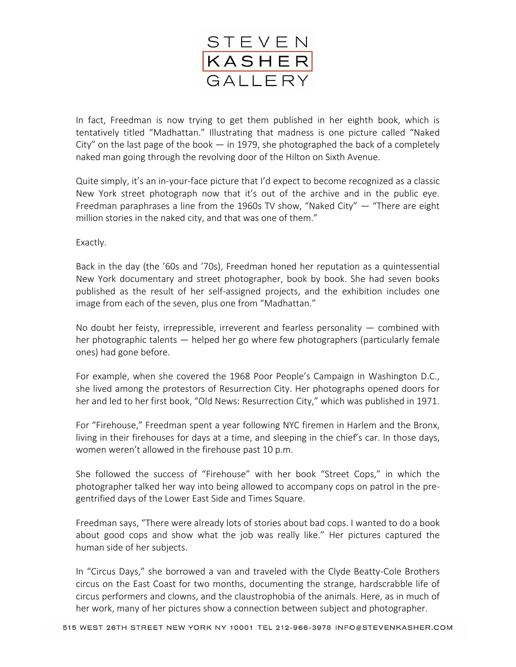

In fact, Freedman is now trying to get them published in her eighth book, which is tentatively titled "Madhattan." Illustrating that madness is one picture called "Naked City" on the last page of the book  $-$  in 1979, she photographed the back of a completely naked man going through the revolving door of the Hilton on Sixth Avenue.

Quite simply, it's an in-your-face picture that I'd expect to become recognized as a classic New York street photograph now that it's out of the archive and in the public eye. Freedman paraphrases a line from the 1960s TV show, "Naked City" — "There are eight million stories in the naked city, and that was one of them."

Exactly.

Back in the day (the '60s and '70s), Freedman honed her reputation as a quintessential New York documentary and street photographer, book by book. She had seven books published as the result of her self-assigned projects, and the exhibition includes one image from each of the seven, plus one from "Madhattan."

No doubt her feisty, irrepressible, irreverent and fearless personality — combined with her photographic talents — helped her go where few photographers (particularly female ones) had gone before.

For example, when she covered the 1968 Poor People's Campaign in Washington D.C., she lived among the protestors of Resurrection City. Her photographs opened doors for her and led to her first book, "Old News: Resurrection City," which was published in 1971.

For "Firehouse," Freedman spent a year following NYC firemen in Harlem and the Bronx, living in their firehouses for days at a time, and sleeping in the chief's car. In those days, women weren't allowed in the firehouse past 10 p.m.

She followed the success of "Firehouse" with her book "Street Cops," in which the photographer talked her way into being allowed to accompany cops on patrol in the pregentrified days of the Lower East Side and Times Square.

Freedman says, "There were already lots of stories about bad cops. I wanted to do a book about good cops and show what the job was really like." Her pictures captured the human side of her subjects.

In "Circus Days," she borrowed a van and traveled with the Clyde Beatty-Cole Brothers circus on the East Coast for two months, documenting the strange, hardscrabble life of circus performers and clowns, and the claustrophobia of the animals. Here, as in much of her work, many of her pictures show a connection between subject and photographer.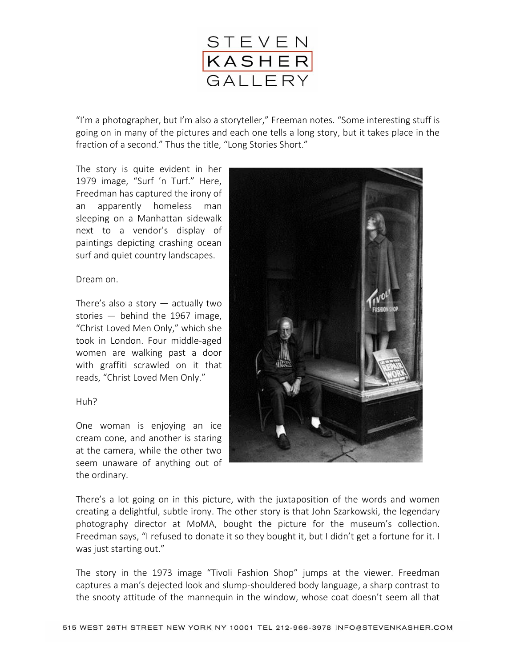

"I'm a photographer, but I'm also a storyteller," Freeman notes. "Some interesting stuff is going on in many of the pictures and each one tells a long story, but it takes place in the fraction of a second." Thus the title, "Long Stories Short."

The story is quite evident in her 1979 image, "Surf 'n Turf." Here, Freedman has captured the irony of an apparently homeless man sleeping on a Manhattan sidewalk next to a vendor's display of paintings depicting crashing ocean surf and quiet country landscapes.

Dream on.

There's also a story  $-$  actually two stories — behind the 1967 image, "Christ Loved Men Only," which she took in London. Four middle-aged women are walking past a door with graffiti scrawled on it that reads, "Christ Loved Men Only."

## Huh?

One woman is enjoying an ice cream cone, and another is staring at the camera, while the other two seem unaware of anything out of the ordinary.



There's a lot going on in this picture, with the juxtaposition of the words and women creating a delightful, subtle irony. The other story is that John Szarkowski, the legendary photography director at MoMA, bought the picture for the museum's collection. Freedman says, "I refused to donate it so they bought it, but I didn't get a fortune for it. I was just starting out."

The story in the 1973 image "Tivoli Fashion Shop" jumps at the viewer. Freedman captures a man's dejected look and slump-shouldered body language, a sharp contrast to the snooty attitude of the mannequin in the window, whose coat doesn't seem all that